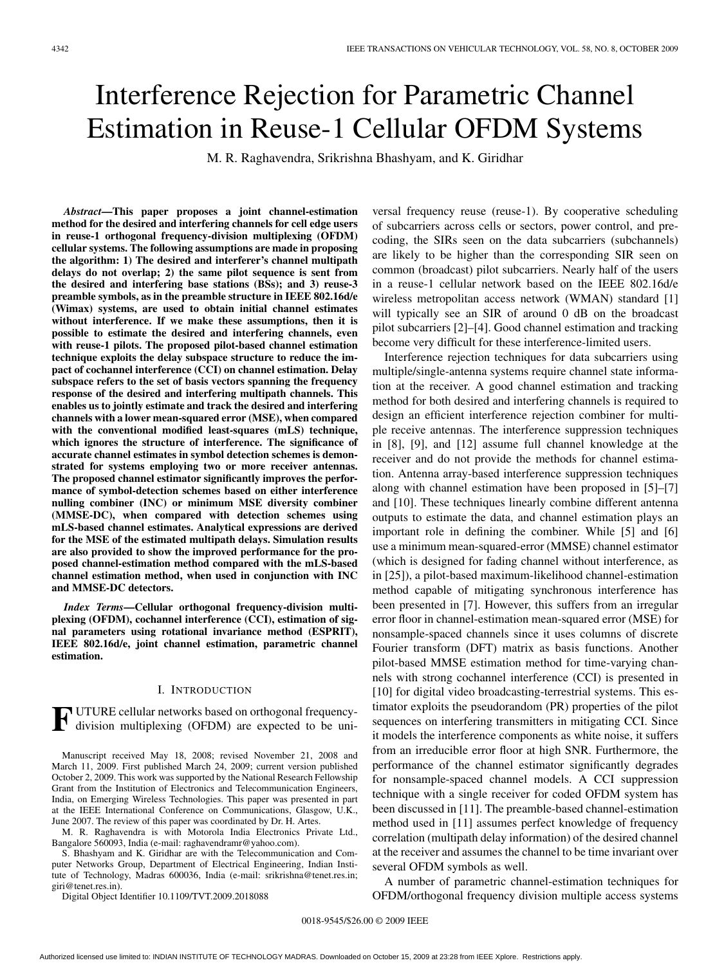# Interference Rejection for Parametric Channel Estimation in Reuse-1 Cellular OFDM Systems

M. R. Raghavendra, Srikrishna Bhashyam, and K. Giridhar

*Abstract***—This paper proposes a joint channel-estimation method for the desired and interfering channels for cell edge users in reuse-1 orthogonal frequency-division multiplexing (OFDM) cellular systems. The following assumptions are made in proposing the algorithm: 1) The desired and interferer's channel multipath delays do not overlap; 2) the same pilot sequence is sent from the desired and interfering base stations (BSs); and 3) reuse-3 preamble symbols, as in the preamble structure in IEEE 802.16d/e (Wimax) systems, are used to obtain initial channel estimates without interference. If we make these assumptions, then it is possible to estimate the desired and interfering channels, even with reuse-1 pilots. The proposed pilot-based channel estimation technique exploits the delay subspace structure to reduce the impact of cochannel interference (CCI) on channel estimation. Delay subspace refers to the set of basis vectors spanning the frequency response of the desired and interfering multipath channels. This enables us to jointly estimate and track the desired and interfering channels with a lower mean-squared error (MSE), when compared with the conventional modified least-squares (mLS) technique, which ignores the structure of interference. The significance of accurate channel estimates in symbol detection schemes is demonstrated for systems employing two or more receiver antennas. The proposed channel estimator significantly improves the performance of symbol-detection schemes based on either interference nulling combiner (INC) or minimum MSE diversity combiner (MMSE-DC), when compared with detection schemes using mLS-based channel estimates. Analytical expressions are derived for the MSE of the estimated multipath delays. Simulation results are also provided to show the improved performance for the proposed channel-estimation method compared with the mLS-based channel estimation method, when used in conjunction with INC and MMSE-DC detectors.**

*Index Terms***—Cellular orthogonal frequency-division multiplexing (OFDM), cochannel interference (CCI), estimation of signal parameters using rotational invariance method (ESPRIT), IEEE 802.16d/e, joint channel estimation, parametric channel estimation.**

## I. INTRODUCTION

**F** UTURE cellular networks based on orthogonal frequency-<br>division multiplexing (OFDM) are expected to be uni-

Manuscript received May 18, 2008; revised November 21, 2008 and March 11, 2009. First published March 24, 2009; current version published October 2, 2009. This work was supported by the National Research Fellowship Grant from the Institution of Electronics and Telecommunication Engineers, India, on Emerging Wireless Technologies. This paper was presented in part at the IEEE International Conference on Communications, Glasgow, U.K., June 2007. The review of this paper was coordinated by Dr. H. Artes.

M. R. Raghavendra is with Motorola India Electronics Private Ltd., Bangalore 560093, India (e-mail: raghavendramr@yahoo.com).

S. Bhashyam and K. Giridhar are with the Telecommunication and Computer Networks Group, Department of Electrical Engineering, Indian Institute of Technology, Madras 600036, India (e-mail: srikrishna@tenet.res.in; giri@tenet.res.in).

Digital Object Identifier 10.1109/TVT.2009.2018088

versal frequency reuse (reuse-1). By cooperative scheduling of subcarriers across cells or sectors, power control, and precoding, the SIRs seen on the data subcarriers (subchannels) are likely to be higher than the corresponding SIR seen on common (broadcast) pilot subcarriers. Nearly half of the users in a reuse-1 cellular network based on the IEEE 802.16d/e wireless metropolitan access network (WMAN) standard [1] will typically see an SIR of around 0 dB on the broadcast pilot subcarriers [2]–[4]. Good channel estimation and tracking become very difficult for these interference-limited users.

Interference rejection techniques for data subcarriers using multiple/single-antenna systems require channel state information at the receiver. A good channel estimation and tracking method for both desired and interfering channels is required to design an efficient interference rejection combiner for multiple receive antennas. The interference suppression techniques in [8], [9], and [12] assume full channel knowledge at the receiver and do not provide the methods for channel estimation. Antenna array-based interference suppression techniques along with channel estimation have been proposed in [5]–[7] and [10]. These techniques linearly combine different antenna outputs to estimate the data, and channel estimation plays an important role in defining the combiner. While [5] and [6] use a minimum mean-squared-error (MMSE) channel estimator (which is designed for fading channel without interference, as in [25]), a pilot-based maximum-likelihood channel-estimation method capable of mitigating synchronous interference has been presented in [7]. However, this suffers from an irregular error floor in channel-estimation mean-squared error (MSE) for nonsample-spaced channels since it uses columns of discrete Fourier transform (DFT) matrix as basis functions. Another pilot-based MMSE estimation method for time-varying channels with strong cochannel interference (CCI) is presented in [10] for digital video broadcasting-terrestrial systems. This estimator exploits the pseudorandom (PR) properties of the pilot sequences on interfering transmitters in mitigating CCI. Since it models the interference components as white noise, it suffers from an irreducible error floor at high SNR. Furthermore, the performance of the channel estimator significantly degrades for nonsample-spaced channel models. A CCI suppression technique with a single receiver for coded OFDM system has been discussed in [11]. The preamble-based channel-estimation method used in [11] assumes perfect knowledge of frequency correlation (multipath delay information) of the desired channel at the receiver and assumes the channel to be time invariant over several OFDM symbols as well.

A number of parametric channel-estimation techniques for OFDM/orthogonal frequency division multiple access systems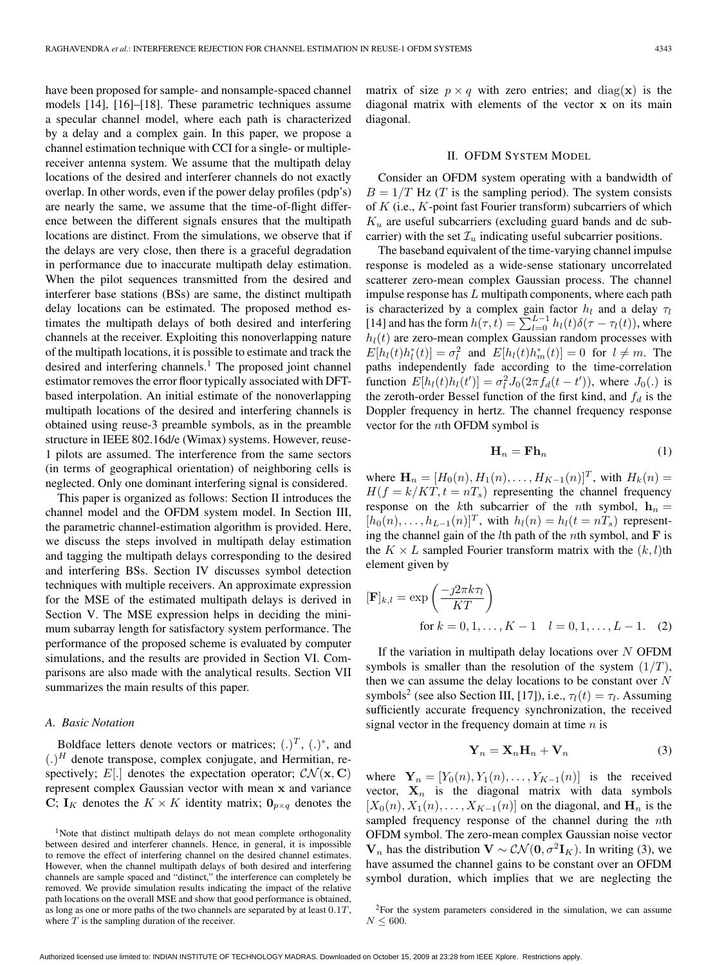have been proposed for sample- and nonsample-spaced channel models [14], [16]–[18]. These parametric techniques assume a specular channel model, where each path is characterized by a delay and a complex gain. In this paper, we propose a channel estimation technique with CCI for a single- or multiplereceiver antenna system. We assume that the multipath delay locations of the desired and interferer channels do not exactly overlap. In other words, even if the power delay profiles (pdp's) are nearly the same, we assume that the time-of-flight difference between the different signals ensures that the multipath locations are distinct. From the simulations, we observe that if the delays are very close, then there is a graceful degradation in performance due to inaccurate multipath delay estimation. When the pilot sequences transmitted from the desired and interferer base stations (BSs) are same, the distinct multipath delay locations can be estimated. The proposed method estimates the multipath delays of both desired and interfering channels at the receiver. Exploiting this nonoverlapping nature of the multipath locations, it is possible to estimate and track the desired and interfering channels.<sup>1</sup> The proposed joint channel estimator removes the error floor typically associated with DFTbased interpolation. An initial estimate of the nonoverlapping multipath locations of the desired and interfering channels is obtained using reuse-3 preamble symbols, as in the preamble structure in IEEE 802.16d/e (Wimax) systems. However, reuse-1 pilots are assumed. The interference from the same sectors (in terms of geographical orientation) of neighboring cells is neglected. Only one dominant interfering signal is considered.

This paper is organized as follows: Section II introduces the channel model and the OFDM system model. In Section III, the parametric channel-estimation algorithm is provided. Here, we discuss the steps involved in multipath delay estimation and tagging the multipath delays corresponding to the desired and interfering BSs. Section IV discusses symbol detection techniques with multiple receivers. An approximate expression for the MSE of the estimated multipath delays is derived in Section V. The MSE expression helps in deciding the minimum subarray length for satisfactory system performance. The performance of the proposed scheme is evaluated by computer simulations, and the results are provided in Section VI. Comparisons are also made with the analytical results. Section VII summarizes the main results of this paper.

## *A. Basic Notation*

Boldface letters denote vectors or matrices;  $(.)^T$ ,  $(.)^*$ , and  $(.)^H$  denote transpose, complex conjugate, and Hermitian, respectively; E[.] denotes the expectation operator;  $CN(\mathbf{x}, \mathbf{C})$ represent complex Gaussian vector with mean **x** and variance **C**; **I**<sub>K</sub> denotes the  $K \times K$  identity matrix;  $\mathbf{0}_{p \times q}$  denotes the matrix of size  $p \times q$  with zero entries; and diag(**x**) is the diagonal matrix with elements of the vector **x** on its main diagonal.

#### II. OFDM SYSTEM MODEL

Consider an OFDM system operating with a bandwidth of  $B = 1/T$  Hz (T is the sampling period). The system consists of  $K$  (i.e.,  $K$ -point fast Fourier transform) subcarriers of which  $K_u$  are useful subcarriers (excluding guard bands and dc subcarrier) with the set  $\mathcal{I}_u$  indicating useful subcarrier positions.

The baseband equivalent of the time-varying channel impulse response is modeled as a wide-sense stationary uncorrelated scatterer zero-mean complex Gaussian process. The channel impulse response has  $L$  multipath components, where each path is characterized by a complex gain factor  $h_l$  and a delay  $\tau_l$ [14] and has the form  $h(\tau, t) = \sum_{l=0}^{L-1} h_l(t) \delta(\tau - \tau_l(t)),$  where  $h_l(t)$  are zero-mean complex Gaussian random processes with  $E[h_l(t)h_l^*(t)] = \sigma_l^2$  and  $E[h_l(t)h_m^*(t)] = 0$  for  $l \neq m$ . The paths independently fade according to the time-correlation function  $E[h_l(t)h_l(t')] = \sigma_l^2 J_0(2\pi f_d(t-t'))$ , where  $J_0(.)$  is the zeroth-order Bessel function of the first kind, and  $f_d$  is the Doppler frequency in hertz. The channel frequency response vector for the nth OFDM symbol is

$$
\mathbf{H}_n = \mathbf{F} \mathbf{h}_n \tag{1}
$$

where  $\mathbf{H}_n = [H_0(n), H_1(n), \dots, H_{K-1}(n)]^T$ , with  $H_k(n) =$  $H(f = k/KT, t = nT_s)$  representing the channel frequency response on the kth subcarrier of the nth symbol,  $h_n =$  $[h_0(n),...,h_{L-1}(n)]^T$ , with  $h_l(n) = h_l(t = nT_s)$  representing the channel gain of the lth path of the nth symbol, and **F** is the  $K \times L$  sampled Fourier transform matrix with the  $(k, l)$ th element given by

$$
[\mathbf{F}]_{k,l} = \exp\left(\frac{-j2\pi k\tau_l}{KT}\right)
$$
  
for  $k = 0, 1, ..., K - 1$   $l = 0, 1, ..., L - 1$ . (2)

If the variation in multipath delay locations over  $N$  OFDM symbols is smaller than the resolution of the system  $(1/T)$ , then we can assume the delay locations to be constant over  $N$ symbols<sup>2</sup> (see also Section III, [17]), i.e.,  $\tau_l(t) = \tau_l$ . Assuming sufficiently accurate frequency synchronization, the received signal vector in the frequency domain at time  $n$  is

$$
\mathbf{Y}_n = \mathbf{X}_n \mathbf{H}_n + \mathbf{V}_n \tag{3}
$$

where  $\mathbf{Y}_n = [Y_0(n), Y_1(n), \dots, Y_{K-1}(n)]$  is the received vector,  $X_n$  is the diagonal matrix with data symbols  $[X_0(n), X_1(n), \ldots, X_{K-1}(n)]$  on the diagonal, and  $\mathbf{H}_n$  is the sampled frequency response of the channel during the nth OFDM symbol. The zero-mean complex Gaussian noise vector **V**<sub>n</sub> has the distribution **V** ∼  $\mathcal{CN}(\mathbf{0}, \sigma^2 \mathbf{I}_K)$ . In writing (3), we have assumed the channel gains to be constant over an OFDM symbol duration, which implies that we are neglecting the

<sup>&</sup>lt;sup>1</sup>Note that distinct multipath delays do not mean complete orthogonality between desired and interferer channels. Hence, in general, it is impossible to remove the effect of interfering channel on the desired channel estimates. However, when the channel multipath delays of both desired and interfering channels are sample spaced and "distinct," the interference can completely be removed. We provide simulation results indicating the impact of the relative path locations on the overall MSE and show that good performance is obtained, as long as one or more paths of the two channels are separated by at least  $0.1T$ , where  $T$  is the sampling duration of the receiver.

 $2$ For the system parameters considered in the simulation, we can assume  $N < 600$ .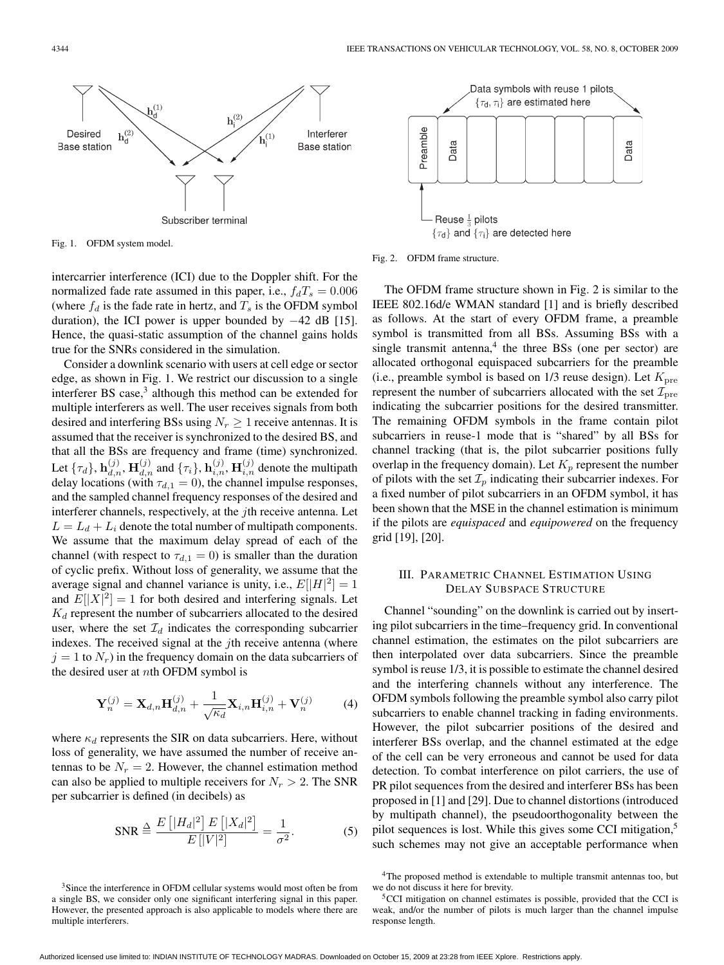

Fig. 1. OFDM system model.

intercarrier interference (ICI) due to the Doppler shift. For the normalized fade rate assumed in this paper, i.e.,  $f_dT_s = 0.006$ (where  $f_d$  is the fade rate in hertz, and  $T_s$  is the OFDM symbol duration), the ICI power is upper bounded by −42 dB [15]. Hence, the quasi-static assumption of the channel gains holds true for the SNRs considered in the simulation.

Consider a downlink scenario with users at cell edge or sector edge, as shown in Fig. 1. We restrict our discussion to a single interferer BS case,<sup>3</sup> although this method can be extended for multiple interferers as well. The user receives signals from both desired and interfering BSs using  $N_r \geq 1$  receive antennas. It is assumed that the receiver is synchronized to the desired BS, and that all the BSs are frequency and frame (time) synchronized. Let  $\{\tau_d\}$ ,  $\mathbf{h}_{d,n}^{(j)}$ ,  $\mathbf{H}_{d,n}^{(j)}$  and  $\{\tau_i\}$ ,  $\mathbf{h}_{i,n}^{(j)}$ ,  $\mathbf{H}_{i,n}^{(j)}$  denote the multipath delay locations (with  $\tau_{d,1} = 0$ ), the channel impulse responses, and the sampled channel frequency responses of the desired and interferer channels, respectively, at the *j*th receive antenna. Let  $L = L_d + L_i$  denote the total number of multipath components. We assume that the maximum delay spread of each of the channel (with respect to  $\tau_{d,1} = 0$ ) is smaller than the duration of cyclic prefix. Without loss of generality, we assume that the average signal and channel variance is unity, i.e.,  $E[|H|^2] = 1$ and  $E[|X|^2] = 1$  for both desired and interfering signals. Let  $K_d$  represent the number of subcarriers allocated to the desired user, where the set  $\mathcal{I}_d$  indicates the corresponding subcarrier indexes. The received signal at the  $j$ th receive antenna (where  $j = 1$  to  $N_r$ ) in the frequency domain on the data subcarriers of the desired user at nth OFDM symbol is

$$
\mathbf{Y}_n^{(j)} = \mathbf{X}_{d,n} \mathbf{H}_{d,n}^{(j)} + \frac{1}{\sqrt{\kappa_d}} \mathbf{X}_{i,n} \mathbf{H}_{i,n}^{(j)} + \mathbf{V}_n^{(j)}
$$
(4)

where  $\kappa_d$  represents the SIR on data subcarriers. Here, without loss of generality, we have assumed the number of receive antennas to be  $N_r = 2$ . However, the channel estimation method can also be applied to multiple receivers for  $N_r > 2$ . The SNR per subcarrier is defined (in decibels) as

$$
SNR \stackrel{\Delta}{=} \frac{E[|H_d|^2] E[|X_d|^2]}{E[|V|^2]} = \frac{1}{\sigma^2}.
$$
 (5)



Fig. 2. OFDM frame structure.

The OFDM frame structure shown in Fig. 2 is similar to the IEEE 802.16d/e WMAN standard [1] and is briefly described as follows. At the start of every OFDM frame, a preamble symbol is transmitted from all BSs. Assuming BSs with a single transmit antenna, $4$  the three BSs (one per sector) are allocated orthogonal equispaced subcarriers for the preamble (i.e., preamble symbol is based on  $1/3$  reuse design). Let  $K<sub>pre</sub>$ represent the number of subcarriers allocated with the set  $\mathcal{I}_{pre}$ indicating the subcarrier positions for the desired transmitter. The remaining OFDM symbols in the frame contain pilot subcarriers in reuse-1 mode that is "shared" by all BSs for channel tracking (that is, the pilot subcarrier positions fully overlap in the frequency domain). Let  $K_p$  represent the number of pilots with the set  $\mathcal{I}_p$  indicating their subcarrier indexes. For a fixed number of pilot subcarriers in an OFDM symbol, it has been shown that the MSE in the channel estimation is minimum if the pilots are *equispaced* and *equipowered* on the frequency grid [19], [20].

## III. PARAMETRIC CHANNEL ESTIMATION USING DELAY SUBSPACE STRUCTURE

Channel "sounding" on the downlink is carried out by inserting pilot subcarriers in the time–frequency grid. In conventional channel estimation, the estimates on the pilot subcarriers are then interpolated over data subcarriers. Since the preamble symbol is reuse 1/3, it is possible to estimate the channel desired and the interfering channels without any interference. The OFDM symbols following the preamble symbol also carry pilot subcarriers to enable channel tracking in fading environments. However, the pilot subcarrier positions of the desired and interferer BSs overlap, and the channel estimated at the edge of the cell can be very erroneous and cannot be used for data detection. To combat interference on pilot carriers, the use of PR pilot sequences from the desired and interferer BSs has been proposed in [1] and [29]. Due to channel distortions (introduced by multipath channel), the pseudoorthogonality between the pilot sequences is lost. While this gives some CCI mitigation,<sup>5</sup> such schemes may not give an acceptable performance when

<sup>3</sup>Since the interference in OFDM cellular systems would most often be from a single BS, we consider only one significant interfering signal in this paper. However, the presented approach is also applicable to models where there are multiple interferers.

<sup>4</sup>The proposed method is extendable to multiple transmit antennas too, but we do not discuss it here for brevity.

<sup>5</sup>CCI mitigation on channel estimates is possible, provided that the CCI is weak, and/or the number of pilots is much larger than the channel impulse response length.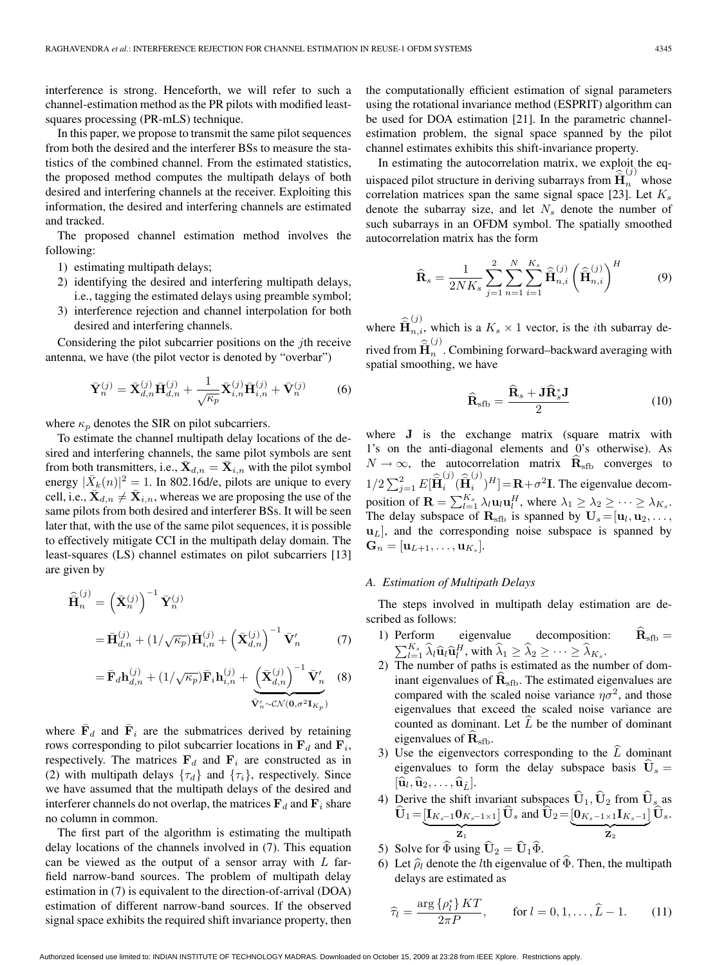interference is strong. Henceforth, we will refer to such a channel-estimation method as the PR pilots with modified leastsquares processing (PR-mLS) technique.

In this paper, we propose to transmit the same pilot sequences from both the desired and the interferer BSs to measure the statistics of the combined channel. From the estimated statistics, the proposed method computes the multipath delays of both desired and interfering channels at the receiver. Exploiting this information, the desired and interfering channels are estimated and tracked.

The proposed channel estimation method involves the following:

- 1) estimating multipath delays;
- 2) identifying the desired and interfering multipath delays, i.e., tagging the estimated delays using preamble symbol;
- 3) interference rejection and channel interpolation for both desired and interfering channels.

Considering the pilot subcarrier positions on the jth receive antenna, we have (the pilot vector is denoted by "overbar")

$$
\bar{\mathbf{Y}}_{n}^{(j)} = \bar{\mathbf{X}}_{d,n}^{(j)} \bar{\mathbf{H}}_{d,n}^{(j)} + \frac{1}{\sqrt{\kappa_p}} \bar{\mathbf{X}}_{i,n}^{(j)} \bar{\mathbf{H}}_{i,n}^{(j)} + \bar{\mathbf{V}}_{n}^{(j)}
$$
(6)

where  $\kappa_p$  denotes the SIR on pilot subcarriers.

To estimate the channel multipath delay locations of the desired and interfering channels, the same pilot symbols are sent from both transmitters, i.e.,  $\mathbf{X}_{d,n} = \mathbf{X}_{i,n}$  with the pilot symbol energy  $|\bar{X}_k(n)|^2 = 1$ . In 802.16d/e, pilots are unique to every cell, i.e.,  $\bar{\mathbf{X}}_{d,n} \neq \bar{\mathbf{X}}_{i,n}$ , whereas we are proposing the use of the same pilots from both desired and interferer BSs. It will be seen later that, with the use of the same pilot sequences, it is possible to effectively mitigate CCI in the multipath delay domain. The least-squares (LS) channel estimates on pilot subcarriers [13] are given by

$$
\widehat{\mathbf{H}}_{n}^{(j)} = \left(\bar{\mathbf{X}}_{n}^{(j)}\right)^{-1} \bar{\mathbf{Y}}_{n}^{(j)}
$$
\n
$$
= \bar{\mathbf{H}}_{d,n}^{(j)} + \left(1/\sqrt{\kappa_{p}}\right) \bar{\mathbf{H}}_{i,n}^{(j)} + \left(\bar{\mathbf{X}}_{d,n}^{(j)}\right)^{-1} \bar{\mathbf{V}}_{n}^{\prime} \tag{7}
$$

$$
= \bar{\mathbf{F}}_d \mathbf{h}_{d,n}^{(j)} + (1/\sqrt{\kappa_p}) \bar{\mathbf{F}}_i \mathbf{h}_{i,n}^{(j)} + \underbrace{\left(\bar{\mathbf{X}}_{d,n}^{(j)}\right)^{-1} \bar{\mathbf{V}}_n'}_{\bar{\mathbf{V}}_n' \sim \mathcal{CN}(\mathbf{0}, \sigma^2 \mathbf{I}_{K_p})}
$$
(8)

where  $\mathbf{F}_d$  and  $\mathbf{F}_i$  are the submatrices derived by retaining rows corresponding to pilot subcarrier locations in  $\mathbf{F}_d$  and  $\mathbf{F}_i$ , respectively. The matrices  $\mathbf{F}_d$  and  $\mathbf{F}_i$  are constructed as in (2) with multipath delays  $\{\tau_d\}$  and  $\{\tau_i\}$ , respectively. Since we have assumed that the multipath delays of the desired and interferer channels do not overlap, the matrices  $\mathbf{F}_d$  and  $\mathbf{F}_i$  share no column in common.

The first part of the algorithm is estimating the multipath delay locations of the channels involved in (7). This equation can be viewed as the output of a sensor array with  $L$  farfield narrow-band sources. The problem of multipath delay estimation in (7) is equivalent to the direction-of-arrival (DOA) estimation of different narrow-band sources. If the observed signal space exhibits the required shift invariance property, then

the computationally efficient estimation of signal parameters using the rotational invariance method (ESPRIT) algorithm can be used for DOA estimation [21]. In the parametric channelestimation problem, the signal space spanned by the pilot channel estimates exhibits this shift-invariance property.

In estimating the autocorrelation matrix, we exploit the equispaced pilot structure in deriving subarrays from  $\hat{\mathbf{H}}_n^{\text{(j)}}$  whose correlation matrices span the same signal space [23]. Let  $K_s$ denote the subarray size, and let  $N_s$  denote the number of such subarrays in an OFDM symbol. The spatially smoothed autocorrelation matrix has the form

$$
\widehat{\mathbf{R}}_{s} = \frac{1}{2NK_{s}} \sum_{j=1}^{2} \sum_{n=1}^{N} \sum_{i=1}^{K_{s}} \widehat{\mathbf{H}}_{n,i}^{(j)} \left(\widehat{\mathbf{H}}_{n,i}^{(j)}\right)^{H}
$$
(9)

where  $\hat{\overline{\mathbf{H}}}_{n,i}^{(j)}$ , which is a  $K_s \times 1$  vector, is the *i*th subarray derived from  $\hat{\overline{\mathbf{H}}}_n^{(j)}$ . Combining forward–backward averaging with spatial smoothing, we have

$$
\widehat{\mathbf{R}}_{\rm sfb} = \frac{\widehat{\mathbf{R}}_s + \mathbf{J} \widehat{\mathbf{R}}_s^* \mathbf{J}}{2} \tag{10}
$$

where **J** is the exchange matrix (square matrix with 1's on the anti-diagonal elements and 0's otherwise). As  $N \to \infty$ , the autocorrelation matrix  $\mathbf{R}_{\rm sfb}$  converges to  $1/2 \sum_{j=1}^{2} E[\hat{\mathbf{H}}_i^{(j)}(\hat{\mathbf{H}}_i^{(j)})^H] = \mathbf{R} + \sigma^2 \mathbf{I}$ . The eigenvalue decomposition of  $\mathbf{R} = \sum_{l=1}^{K_s} \lambda_l \mathbf{u}_l \mathbf{u}_l^H$ , where  $\lambda_1 \geq \lambda_2 \geq \cdots \geq \lambda_{K_s}$ . The delay subspace of  $\mathbf{R}_{\text{sfb}}$  is spanned by  $\mathbf{U}_s = [\mathbf{u}_l, \mathbf{u}_2, \dots]$  $\mathbf{u}_L$ , and the corresponding noise subspace is spanned by  $\mathbf{G}_n = [\mathbf{u}_{L+1}, \ldots, \mathbf{u}_{K_s}].$ 

# *A. Estimation of Multipath Delays*

The steps involved in multipath delay estimation are described as follows:

- 1) Perform eigenvalue decomposition:  $\mathbf{R}_{\text{sfb}} = \sum_{l=1}^{K_s} \hat{\lambda}_l \hat{\mathbf{u}}_l \hat{\mathbf{u}}_l^H$ , with  $\hat{\lambda}_1 \ge \hat{\lambda}_2 \ge \cdots \ge \hat{\lambda}_{K_s}$ .
- 2) The number of paths is estimated as the number of dominant eigenvalues of  $\hat{\mathbf{R}}_{\rm sfb}$ . The estimated eigenvalues are compared with the scaled noise variance  $\eta\sigma^2$ , and those eigenvalues that exceed the scaled noise variance are counted as dominant. Let  $L$  be the number of dominant eigenvalues of  $\mathbf{R}_{\rm sfb}$ .
- 3) Use the eigenvectors corresponding to the  $\hat{L}$  dominant eigenvalues to form the delay subspace basis  $\dot{\mathbf{U}}_s =$  $[\widehat{\mathbf{u}}_l, \widehat{\mathbf{u}}_2, \ldots, \widehat{\mathbf{u}}_{\widehat{L}}].$
- 4) Derive the shift invariant subspaces  $U_1, U_2$  from  $U_{s_2}$  as  $\mathbf{U}_1 = \underbrace{[\mathbf{I}_{K_s-1} \mathbf{0}_{K_s-1 \times 1}]}_{\mathbf{Z}_1} \mathbf{U}_s$  and  $\mathbf{U}_2 = \underbrace{[\mathbf{0}_{K_s-1 \times 1} \mathbf{I}_{K_s-1}]}_{\mathbf{Z}_2}$  $\mathbf{U}_s$ .
- 5) Solve for  $\widehat{\Phi}$  using  $\widehat{\mathbf{U}}_2 = \widehat{\mathbf{U}}_1 \widehat{\Phi}$ .
- 6) Let  $\hat{\rho}_l$  denote the *l*th eigenvalue of  $\hat{\Phi}$ . Then, the multipath delays are estimated as

$$
\widehat{\tau}_l = \frac{\arg \{\rho_l^*\} KT}{2\pi P}, \qquad \text{for } l = 0, 1, \dots, \widehat{L} - 1. \tag{11}
$$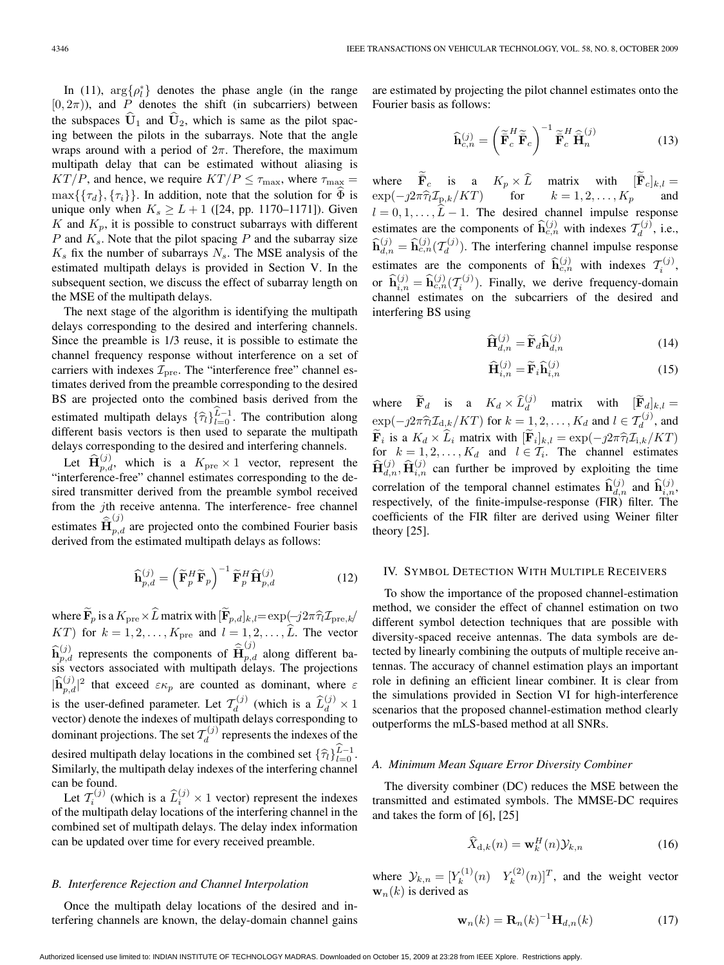In (11),  $\arg\{\rho_l^*\}$  denotes the phase angle (in the range  $[0, 2\pi)$ , and P denotes the shift (in subcarriers) between the subspaces  $\widehat{U}_1$  and  $\widehat{U}_2$ , which is same as the pilot spacing between the pilots in the subarrays. Note that the angle wraps around with a period of  $2\pi$ . Therefore, the maximum multipath delay that can be estimated without aliasing is  $KT/P$ , and hence, we require  $KT/P \leq \tau_{\text{max}}$ , where  $\tau_{\text{max}} =$  $\max\{\{\tau_d\},\{\tau_i\}\}\$ . In addition, note that the solution for  $\Phi$  is unique only when  $K_s \ge L + 1$  ([24, pp. 1170–1171]). Given K and  $K_p$ , it is possible to construct subarrays with different  $P$  and  $K_s$ . Note that the pilot spacing  $P$  and the subarray size  $K_s$  fix the number of subarrays  $N_s$ . The MSE analysis of the estimated multipath delays is provided in Section V. In the subsequent section, we discuss the effect of subarray length on the MSE of the multipath delays.

The next stage of the algorithm is identifying the multipath delays corresponding to the desired and interfering channels. Since the preamble is 1/3 reuse, it is possible to estimate the channel frequency response without interference on a set of carriers with indexes  $\mathcal{I}_{pre}$ . The "interference free" channel estimates derived from the preamble corresponding to the desired BS are projected onto the combined basis derived from the estimated multipath delays  $\{\widehat{\tau}_l\}_{l=0}^{\widehat{L}-1}$ . The contribution along different basis vectors is then used to separate the multipath delays corresponding to the desired and interfering channels.

Let  $\widehat{\mathbf{H}}_{p,d}^{(j)}$ , which is a  $K_{\text{pre}} \times 1$  vector, represent the "interference-free" channel estimates corresponding to the desired transmitter derived from the preamble symbol received from the jth receive antenna. The interference- free channel estimates  $\hat{\bar{H}}_{p,d}^{(j)}$  are projected onto the combined Fourier basis derived from the estimated multipath delays as follows:

$$
\widehat{\mathbf{h}}_{p,d}^{(j)} = \left(\widetilde{\mathbf{F}}_p^H \widetilde{\mathbf{F}}_p\right)^{-1} \widetilde{\mathbf{F}}_p^H \widehat{\mathbf{H}}_{p,d}^{(j)} \tag{12}
$$

where  $\widetilde{\mathbf{F}}_p$  is a  $K_{\text{pre}} \times \widehat{L}$  matrix with  $[\widetilde{\mathbf{F}}_{p,d}]_{k,l} = \exp(-j2\pi \widehat{\tau}_l \mathcal{I}_{\text{pre},k})$  $KT$ ) for  $k = 1, 2, \ldots, K_{pre}$  and  $l = 1, 2, \ldots, \widehat{L}$ . The vector  $\widehat{\mathbf{h}}_{p,d}^{(j)}$  represents the components of  $\widehat{\mathbf{H}}_{p,d}^{(j)}$  along different basis vectors associated with multipath delays. The projections  $|\hat{\mathbf{h}}_{p,d}^{(j)}|^2$  that exceed  $\varepsilon \kappa_p$  are counted as dominant, where  $\varepsilon$ is the user-defined parameter. Let  $\mathcal{T}_d^{(j)}$  (which is a  $\widehat{L}_d^{(j)} \times 1$ vector) denote the indexes of multipath delays corresponding to dominant projections. The set  $\mathcal{T}_d^{(j)}$  represents the indexes of the desired multipath delay locations in the combined set  $\{\hat{\tau}_l\}_{l=0}^{\hat{L}-1}$ . Similarly, the multipath delay indexes of the interfering channel can be found.

Let  $T_i^{(j)}$  (which is a  $\widehat{L}_i^{(j)} \times 1$  vector) represent the indexes of the multipath delay locations of the interfering channel in the combined set of multipath delays. The delay index information can be updated over time for every received preamble.

# *B. Interference Rejection and Channel Interpolation*

Once the multipath delay locations of the desired and interfering channels are known, the delay-domain channel gains are estimated by projecting the pilot channel estimates onto the Fourier basis as follows:

$$
\widehat{\mathbf{h}}_{c,n}^{(j)} = \left(\widetilde{\overline{\mathbf{F}}}_c^H \widetilde{\overline{\mathbf{F}}}_c\right)^{-1} \widetilde{\overline{\mathbf{F}}}_c^H \widehat{\overline{\mathbf{H}}}_n^{(j)} \tag{13}
$$

where  $\tilde{\mathbf{F}}_c$  is a  $K_p \times \hat{L}$  matrix with  $[\tilde{\mathbf{F}}_c]_{k,l} =$  $\exp(-j2\pi \hat{\tau}_l \mathcal{I}_{p,k}/KT)$  for  $k = 1, 2, ..., K_p$  and  $l = 0, 1, \ldots, \hat{L} - 1$ . The desired channel impulse response estimates are the components of  $\widehat{\mathbf{h}}_{c,n}^{(j)}$  with indexes  $\mathcal{T}_d^{(j)}$ , i.e.,  $\widehat{\mathbf{h}}_{d,n}^{(j)} = \widehat{\mathbf{h}}_{c,n}^{(j)}(\mathcal{I}_d^{(j)})$ . The interfering channel impulse response estimates are the components of  $\hat{\mathbf{h}}_{c,n}^{(j)}$  with indexes  $\mathcal{T}_i^{(j)}$ , or  $\hat{\mathbf{h}}_{i,n}^{(j)} = \hat{\mathbf{h}}_{c,n}^{(j)}(\mathcal{T}_i^{(j)})$ . Finally, we derive frequency-domain channel estimates on the subcarriers of the desired and interfering BS using

$$
\widehat{\mathbf{H}}_{d,n}^{(j)} = \widetilde{\mathbf{F}}_d \widehat{\mathbf{h}}_{d,n}^{(j)} \tag{14}
$$

$$
\widehat{\mathbf{H}}_{i,n}^{(j)} = \widetilde{\mathbf{F}}_i \widehat{\mathbf{h}}_{i,n}^{(j)}
$$
(15)

where  $\tilde{\mathbf{F}}_d$  is a  $K_d \times \hat{L}_d^{(j)}$  matrix with  $[\tilde{\mathbf{F}}_d]_{k,l} =$  $\exp(-j2\pi\widehat{\tau}_l\mathcal{I}_{d,k}/KT)$  for  $k = 1, 2, \ldots, K_d$  and  $l \in \mathcal{T}_d^{(j)}$ , and  $\widetilde{\tau}_d^{(j)}$ , and  $\widetilde{\mathbf{F}}_i$  is a  $K_d \times \widehat{L}_i$  matrix with  $[\widetilde{\mathbf{F}}_i]_{k,l} = \exp(-j2\pi \widehat{\tau}_l \mathcal{I}_{i,k}/KT)$ for  $k = 1, 2, ..., K_d$  and  $l \in \mathcal{T}_i$ . The channel estimates  $\hat{\mathbf{H}}_{d,n}^{(j)}$ ,  $\hat{\mathbf{H}}_{i,n}^{(j)}$  can further be improved by exploiting the time correlation of the temporal channel estimates  $\widehat{\mathbf{h}}_{d,n}^{(j)}$  and  $\widehat{\mathbf{h}}_{i,n}^{(j)}$ , respectively, of the finite-impulse-response (FIR) filter. The coefficients of the FIR filter are derived using Weiner filter theory [25].

#### IV. SYMBOL DETECTION WITH MULTIPLE RECEIVERS

To show the importance of the proposed channel-estimation method, we consider the effect of channel estimation on two different symbol detection techniques that are possible with diversity-spaced receive antennas. The data symbols are detected by linearly combining the outputs of multiple receive antennas. The accuracy of channel estimation plays an important role in defining an efficient linear combiner. It is clear from the simulations provided in Section VI for high-interference scenarios that the proposed channel-estimation method clearly outperforms the mLS-based method at all SNRs.

## *A. Minimum Mean Square Error Diversity Combiner*

The diversity combiner (DC) reduces the MSE between the transmitted and estimated symbols. The MMSE-DC requires and takes the form of [6], [25]

$$
\widehat{X}_{d,k}(n) = \mathbf{w}_k^H(n) \mathcal{Y}_{k,n}
$$
\n(16)

where  $\mathcal{Y}_{k,n} = [Y_k^{(1)}(n) \quad Y_k^{(2)}(n)]^T$ , and the weight vector  $\mathbf{w}_n(k)$  is derived as

$$
\mathbf{w}_n(k) = \mathbf{R}_n(k)^{-1} \mathbf{H}_{d,n}(k)
$$
 (17)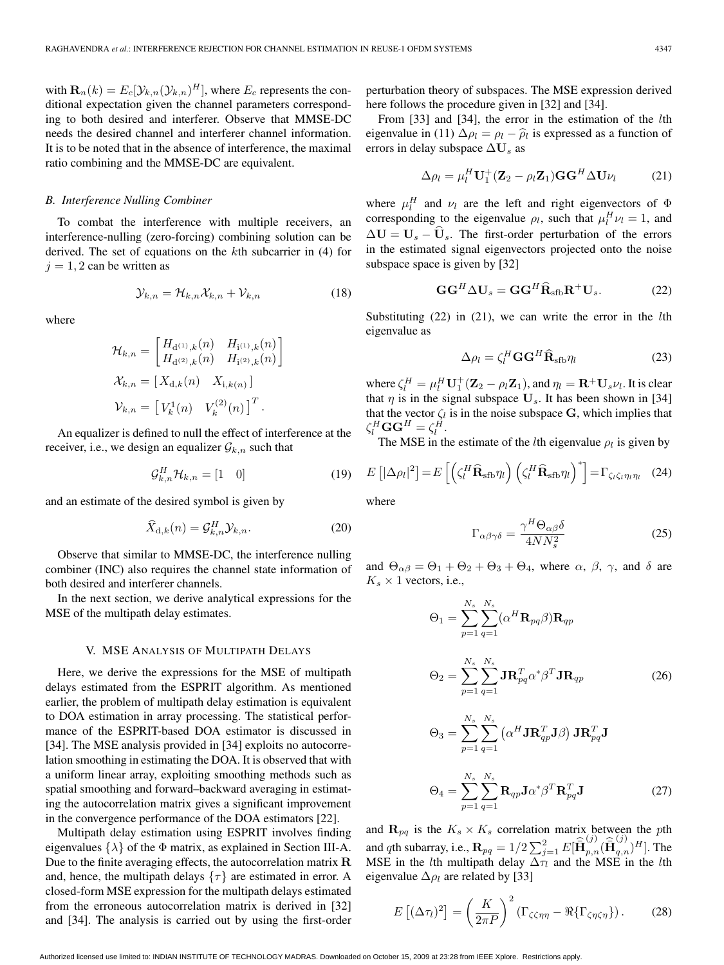with  $\mathbf{R}_n(k) = E_c[\mathcal{Y}_{k,n}(\mathcal{Y}_{k,n})^H]$ , where  $E_c$  represents the conditional expectation given the channel parameters corresponding to both desired and interferer. Observe that MMSE-DC needs the desired channel and interferer channel information. It is to be noted that in the absence of interference, the maximal ratio combining and the MMSE-DC are equivalent.

## *B. Interference Nulling Combiner*

To combat the interference with multiple receivers, an interference-nulling (zero-forcing) combining solution can be derived. The set of equations on the kth subcarrier in (4) for  $j = 1, 2$  can be written as

$$
\mathcal{Y}_{k,n} = \mathcal{H}_{k,n} \mathcal{X}_{k,n} + \mathcal{V}_{k,n} \tag{18}
$$

where

$$
\mathcal{H}_{k,n} = \begin{bmatrix} H_{\mathrm{d}^{(1)},k}(n) & H_{\mathrm{i}^{(1)},k}(n) \\ H_{\mathrm{d}^{(2)},k}(n) & H_{\mathrm{i}^{(2)},k}(n) \end{bmatrix}
$$

$$
\mathcal{X}_{k,n} = \begin{bmatrix} X_{\mathrm{d},k}(n) & X_{\mathrm{i},k(n)} \end{bmatrix}
$$

$$
\mathcal{V}_{k,n} = \begin{bmatrix} V_k^1(n) & V_k^{(2)}(n) \end{bmatrix}^T.
$$

An equalizer is defined to null the effect of interference at the receiver, i.e., we design an equalizer  $\mathcal{G}_{k,n}$  such that

$$
\mathcal{G}_{k,n}^H \mathcal{H}_{k,n} = \begin{bmatrix} 1 & 0 \end{bmatrix} \tag{19}
$$

and an estimate of the desired symbol is given by

$$
\widehat{X}_{\mathrm{d},k}(n) = \mathcal{G}_{k,n}^H \mathcal{Y}_{k,n}.\tag{20}
$$

Observe that similar to MMSE-DC, the interference nulling combiner (INC) also requires the channel state information of both desired and interferer channels.

In the next section, we derive analytical expressions for the MSE of the multipath delay estimates.

#### V. MSE ANALYSIS OF MULTIPATH DELAYS

Here, we derive the expressions for the MSE of multipath delays estimated from the ESPRIT algorithm. As mentioned earlier, the problem of multipath delay estimation is equivalent to DOA estimation in array processing. The statistical performance of the ESPRIT-based DOA estimator is discussed in [34]. The MSE analysis provided in [34] exploits no autocorrelation smoothing in estimating the DOA. It is observed that with a uniform linear array, exploiting smoothing methods such as spatial smoothing and forward–backward averaging in estimating the autocorrelation matrix gives a significant improvement in the convergence performance of the DOA estimators [22].

Multipath delay estimation using ESPRIT involves finding eigenvalues  $\{\lambda\}$  of the  $\Phi$  matrix, as explained in Section III-A. Due to the finite averaging effects, the autocorrelation matrix **R** and, hence, the multipath delays  $\{\tau\}$  are estimated in error. A closed-form MSE expression for the multipath delays estimated from the erroneous autocorrelation matrix is derived in [32] and [34]. The analysis is carried out by using the first-order perturbation theory of subspaces. The MSE expression derived here follows the procedure given in [32] and [34].

From [33] and [34], the error in the estimation of the lth eigenvalue in (11)  $\Delta \rho_l = \rho_l - \hat{\rho}_l$  is expressed as a function of errors in delay subspace  $\Delta U_s$  as

$$
\Delta \rho_l = \mu_l^H \mathbf{U}_1^+ (\mathbf{Z}_2 - \rho_l \mathbf{Z}_1) \mathbf{G} \mathbf{G}^H \Delta \mathbf{U} \nu_l \tag{21}
$$

where  $\mu_l^H$  and  $\nu_l$  are the left and right eigenvectors of  $\Phi$ corresponding to the eigenvalue  $\rho_l$ , such that  $\mu_l^H \nu_l = 1$ , and  $\Delta U = U_s - \hat{U}_s$ . The first-order perturbation of the errors in the estimated signal eigenvectors projected onto the noise subspace space is given by [32]

$$
GG^H \Delta U_s = GG^H \widehat{\mathbf{R}}_{sfb} \mathbf{R}^+ U_s. \tag{22}
$$

Substituting  $(22)$  in  $(21)$ , we can write the error in the *l*th eigenvalue as

$$
\Delta \rho_l = \zeta_l^H \mathbf{G} \mathbf{G}^H \widehat{\mathbf{R}}_{\text{sfb}} \eta_l \tag{23}
$$

where  $\zeta_l^H = \mu_l^H \mathbf{U}_1^+ (\mathbf{Z}_2 - \rho_l \mathbf{Z}_1)$ , and  $\eta_l = \mathbf{R}^+ \mathbf{U}_s \nu_l$ . It is clear that  $\eta$  is in the signal subspace  $U_s$ . It has been shown in [34] that the vector  $\zeta_l$  is in the noise subspace G, which implies that  $\zeta_l^H \mathbf{G} \mathbf{G}^H = \zeta_l^{\overrightarrow{H}}.$ 

The MSE in the estimate of the *l*th eigenvalue  $\rho_l$  is given by

$$
E\left[|\Delta\rho_l|^2\right] = E\left[\left(\zeta_l^H \widehat{\mathbf{R}}_{\text{sfb}} \eta_l\right) \left(\zeta_l^H \widehat{\mathbf{R}}_{\text{sfb}} \eta_l\right)^*\right] = \Gamma_{\zeta_l \zeta_l \eta_l \eta_l} \quad (24)
$$

where

$$
\Gamma_{\alpha\beta\gamma\delta} = \frac{\gamma^H \Theta_{\alpha\beta}\delta}{4NN_s^2} \tag{25}
$$

and  $\Theta_{\alpha\beta} = \Theta_1 + \Theta_2 + \Theta_3 + \Theta_4$ , where  $\alpha$ ,  $\beta$ ,  $\gamma$ , and  $\delta$  are  $K_s \times 1$  vectors, i.e.,

$$
\Theta_1 = \sum_{p=1}^{N_s} \sum_{q=1}^{N_s} (\alpha^H \mathbf{R}_{pq} \beta) \mathbf{R}_{qp}
$$
  
\n
$$
\Theta_2 = \sum_{p=1}^{N_s} \sum_{q=1}^{N_s} \mathbf{J} \mathbf{R}_{pq}^T \alpha^* \beta^T \mathbf{J} \mathbf{R}_{qp}
$$
  
\n
$$
\Theta_3 = \sum_{p=1}^{N_s} \sum_{q=1}^{N_s} (\alpha^H \mathbf{J} \mathbf{R}_{qp}^T \mathbf{J} \beta) \mathbf{J} \mathbf{R}_{pq}^T \mathbf{J}
$$
\n(26)

$$
\Theta_4 = \sum_{p=1}^{N_s} \sum_{q=1}^{N_s} \mathbf{R}_{qp} \mathbf{J} \alpha^* \beta^T \mathbf{R}_{pq}^T \mathbf{J}
$$
 (27)

and  $\mathbf{R}_{pq}$  is the  $K_s \times K_s$  correlation matrix between the pth and qth subarray, i.e.,  $\mathbf{R}_{pq} = 1/2 \sum_{j=1}^{2} E[\hat{\mathbf{H}}_{p,n}^{(j)}(\hat{\mathbf{H}}_{q,n}^{(j)})^H]$ . The MSE in the *l*th multipath delay  $\Delta \tau_l$  and the MSE in the *lth* eigenvalue  $\Delta \rho_l$  are related by [33]

$$
E\left[ (\Delta \tau_l)^2 \right] = \left( \frac{K}{2\pi P} \right)^2 \left( \Gamma_{\zeta\zeta\eta\eta} - \Re \{ \Gamma_{\zeta\eta\zeta\eta} \} \right). \tag{28}
$$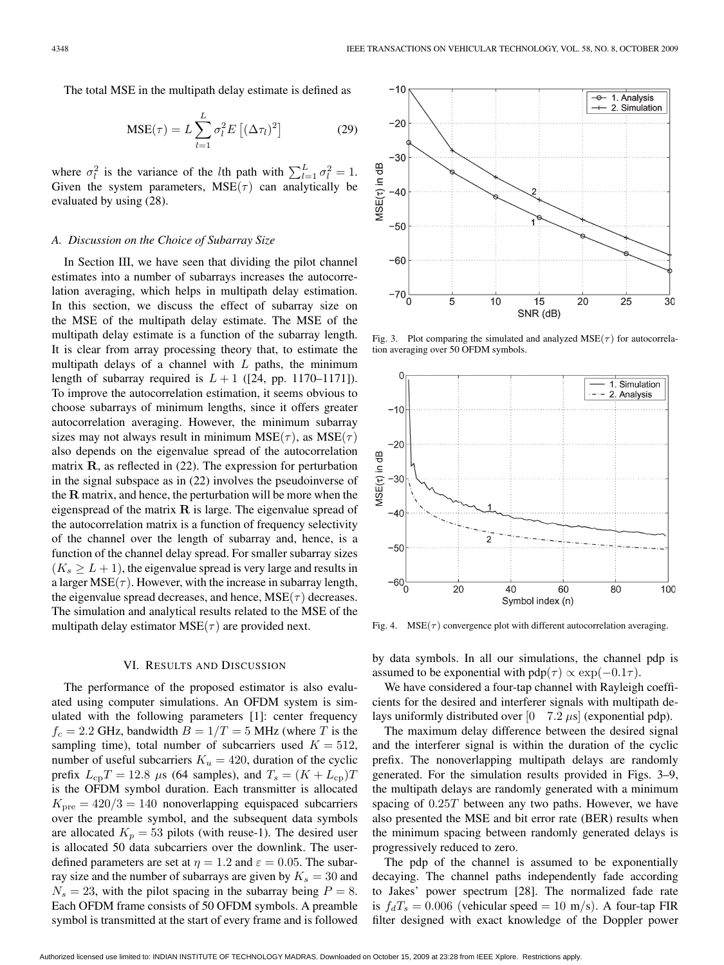The total MSE in the multipath delay estimate is defined as

$$
MSE(\tau) = L \sum_{l=1}^{L} \sigma_l^2 E\left[ (\Delta \tau_l)^2 \right]
$$
 (29)

where  $\sigma_l^2$  is the variance of the *l*th path with  $\sum_{l=1}^{L} \sigma_l^2 = 1$ . Given the system parameters,  $MSE(\tau)$  can analytically be evaluated by using (28).

#### *A. Discussion on the Choice of Subarray Size*

In Section III, we have seen that dividing the pilot channel estimates into a number of subarrays increases the autocorrelation averaging, which helps in multipath delay estimation. In this section, we discuss the effect of subarray size on the MSE of the multipath delay estimate. The MSE of the multipath delay estimate is a function of the subarray length. It is clear from array processing theory that, to estimate the multipath delays of a channel with  $L$  paths, the minimum length of subarray required is  $L+1$  ([24, pp. 1170–1171]). To improve the autocorrelation estimation, it seems obvious to choose subarrays of minimum lengths, since it offers greater autocorrelation averaging. However, the minimum subarray sizes may not always result in minimum  $MSE(\tau)$ , as  $MSE(\tau)$ also depends on the eigenvalue spread of the autocorrelation matrix **R**, as reflected in (22). The expression for perturbation in the signal subspace as in (22) involves the pseudoinverse of the **R** matrix, and hence, the perturbation will be more when the eigenspread of the matrix **R** is large. The eigenvalue spread of the autocorrelation matrix is a function of frequency selectivity of the channel over the length of subarray and, hence, is a function of the channel delay spread. For smaller subarray sizes  $(K_s \geq L+1)$ , the eigenvalue spread is very large and results in a larger  $MSE(\tau)$ . However, with the increase in subarray length, the eigenvalue spread decreases, and hence,  $MSE(\tau)$  decreases. The simulation and analytical results related to the MSE of the multipath delay estimator  $MSE(\tau)$  are provided next.

#### VI. RESULTS AND DISCUSSION

The performance of the proposed estimator is also evaluated using computer simulations. An OFDM system is simulated with the following parameters [1]: center frequency  $f_c = 2.2$  GHz, bandwidth  $B = 1/T = 5$  MHz (where T is the sampling time), total number of subcarriers used  $K = 512$ , number of useful subcarriers  $K_u = 420$ , duration of the cyclic prefix  $L_{cp}T = 12.8 \mu s$  (64 samples), and  $T_s = (K + L_{cp})T$ is the OFDM symbol duration. Each transmitter is allocated  $K<sub>pre</sub> = 420/3 = 140$  nonoverlapping equispaced subcarriers over the preamble symbol, and the subsequent data symbols are allocated  $K_p = 53$  pilots (with reuse-1). The desired user is allocated 50 data subcarriers over the downlink. The userdefined parameters are set at  $\eta = 1.2$  and  $\varepsilon = 0.05$ . The subarray size and the number of subarrays are given by  $K_s = 30$  and  $N_s = 23$ , with the pilot spacing in the subarray being  $P = 8$ . Each OFDM frame consists of 50 OFDM symbols. A preamble symbol is transmitted at the start of every frame and is followed



Fig. 3. Plot comparing the simulated and analyzed  $MSE(\tau)$  for autocorrelation averaging over 50 OFDM symbols.



Fig. 4.  $MSE(\tau)$  convergence plot with different autocorrelation averaging.

by data symbols. In all our simulations, the channel pdp is assumed to be exponential with  $pdp(\tau) \propto exp(-0.1\tau)$ .

We have considered a four-tap channel with Rayleigh coefficients for the desired and interferer signals with multipath delays uniformly distributed over  $[0 \quad 7.2 \,\mu s]$  (exponential pdp).

The maximum delay difference between the desired signal and the interferer signal is within the duration of the cyclic prefix. The nonoverlapping multipath delays are randomly generated. For the simulation results provided in Figs. 3–9, the multipath delays are randomly generated with a minimum spacing of 0.25T between any two paths. However, we have also presented the MSE and bit error rate (BER) results when the minimum spacing between randomly generated delays is progressively reduced to zero.

The pdp of the channel is assumed to be exponentially decaying. The channel paths independently fade according to Jakes' power spectrum [28]. The normalized fade rate is  $f_dT_s = 0.006$  (vehicular speed = 10 m/s). A four-tap FIR filter designed with exact knowledge of the Doppler power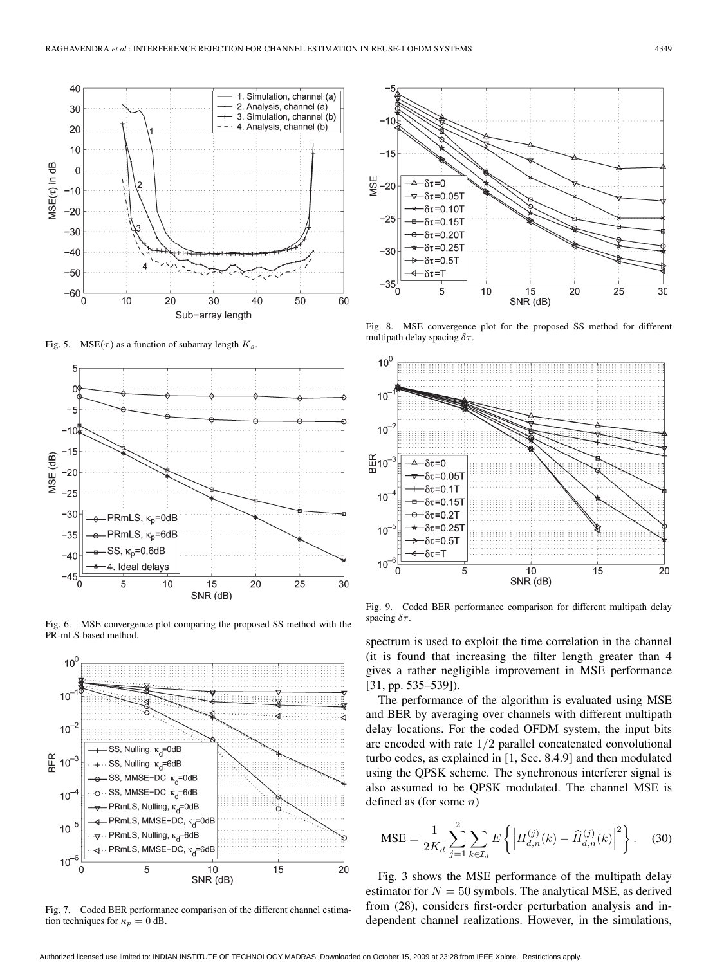

Fig. 5. MSE( $\tau$ ) as a function of subarray length  $K_s$ .



Fig. 6. MSE convergence plot comparing the proposed SS method with the PR-mLS-based method.



Fig. 7. Coded BER performance comparison of the different channel estimation techniques for  $\kappa_p = 0$  dB.



Fig. 8. MSE convergence plot for the proposed SS method for different multipath delay spacing  $\delta\tau$ .



Fig. 9. Coded BER performance comparison for different multipath delay spacing  $\delta\tau$ .

spectrum is used to exploit the time correlation in the channel (it is found that increasing the filter length greater than 4 gives a rather negligible improvement in MSE performance [31, pp. 535–539]).

The performance of the algorithm is evaluated using MSE and BER by averaging over channels with different multipath delay locations. For the coded OFDM system, the input bits are encoded with rate 1/2 parallel concatenated convolutional turbo codes, as explained in [1, Sec. 8.4.9] and then modulated using the QPSK scheme. The synchronous interferer signal is also assumed to be QPSK modulated. The channel MSE is defined as (for some  $n$ )

$$
\text{MSE} = \frac{1}{2K_d} \sum_{j=1}^{2} \sum_{k \in \mathcal{I}_d} E \left\{ \left| H_{d,n}^{(j)}(k) - \widehat{H}_{d,n}^{(j)}(k) \right|^2 \right\}.
$$
 (30)

Fig. 3 shows the MSE performance of the multipath delay estimator for  $N = 50$  symbols. The analytical MSE, as derived from (28), considers first-order perturbation analysis and independent channel realizations. However, in the simulations,

Authorized licensed use limited to: INDIAN INSTITUTE OF TECHNOLOGY MADRAS. Downloaded on October 15, 2009 at 23:28 from IEEE Xplore. Restrictions apply.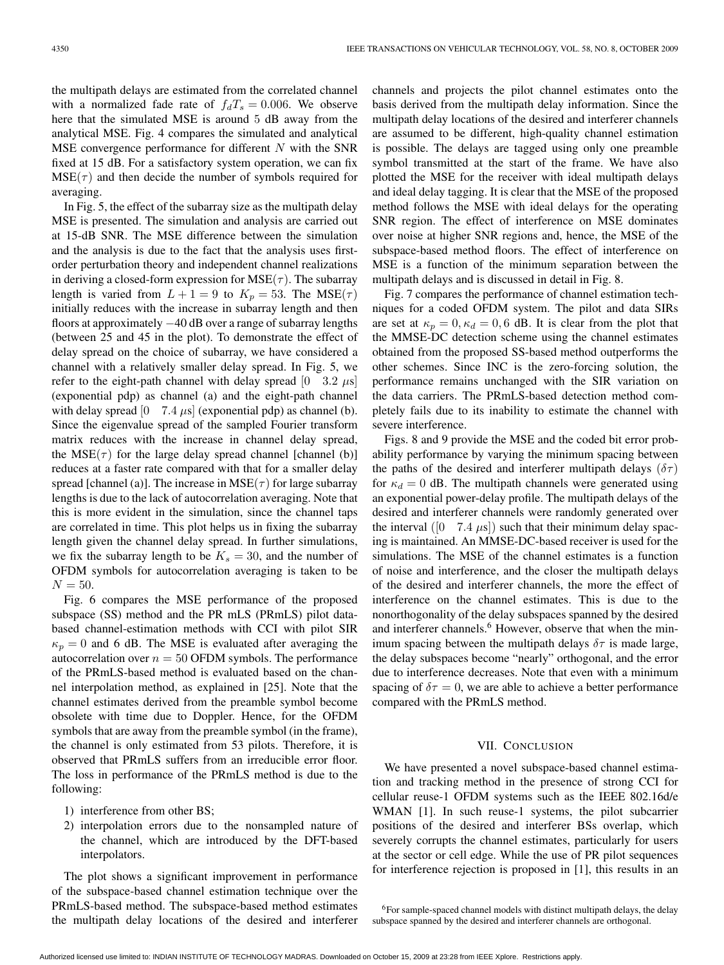the multipath delays are estimated from the correlated channel with a normalized fade rate of  $f_dT_s = 0.006$ . We observe here that the simulated MSE is around 5 dB away from the analytical MSE. Fig. 4 compares the simulated and analytical MSE convergence performance for different  $N$  with the SNR fixed at 15 dB. For a satisfactory system operation, we can fix  $MSE(\tau)$  and then decide the number of symbols required for averaging.

In Fig. 5, the effect of the subarray size as the multipath delay MSE is presented. The simulation and analysis are carried out at 15-dB SNR. The MSE difference between the simulation and the analysis is due to the fact that the analysis uses firstorder perturbation theory and independent channel realizations in deriving a closed-form expression for  $MSE(\tau)$ . The subarray length is varied from  $L + 1 = 9$  to  $K_p = 53$ . The MSE( $\tau$ ) initially reduces with the increase in subarray length and then floors at approximately −40 dB over a range of subarray lengths (between 25 and 45 in the plot). To demonstrate the effect of delay spread on the choice of subarray, we have considered a channel with a relatively smaller delay spread. In Fig. 5, we refer to the eight-path channel with delay spread  $\begin{bmatrix} 0 & 3.2 \ \mu s \end{bmatrix}$ (exponential pdp) as channel (a) and the eight-path channel with delay spread  $\begin{bmatrix} 0 \\ 7.4 \\ \mu s \end{bmatrix}$  (exponential pdp) as channel (b). Since the eigenvalue spread of the sampled Fourier transform matrix reduces with the increase in channel delay spread, the  $MSE(\tau)$  for the large delay spread channel [channel (b)] reduces at a faster rate compared with that for a smaller delay spread [channel (a)]. The increase in  $MSE(\tau)$  for large subarray lengths is due to the lack of autocorrelation averaging. Note that this is more evident in the simulation, since the channel taps are correlated in time. This plot helps us in fixing the subarray length given the channel delay spread. In further simulations, we fix the subarray length to be  $K_s = 30$ , and the number of OFDM symbols for autocorrelation averaging is taken to be  $N = 50.$ 

Fig. 6 compares the MSE performance of the proposed subspace (SS) method and the PR mLS (PRmLS) pilot databased channel-estimation methods with CCI with pilot SIR  $\kappa_p = 0$  and 6 dB. The MSE is evaluated after averaging the autocorrelation over  $n = 50$  OFDM symbols. The performance of the PRmLS-based method is evaluated based on the channel interpolation method, as explained in [25]. Note that the channel estimates derived from the preamble symbol become obsolete with time due to Doppler. Hence, for the OFDM symbols that are away from the preamble symbol (in the frame), the channel is only estimated from 53 pilots. Therefore, it is observed that PRmLS suffers from an irreducible error floor. The loss in performance of the PRmLS method is due to the following:

- 1) interference from other BS;
- 2) interpolation errors due to the nonsampled nature of the channel, which are introduced by the DFT-based interpolators.

The plot shows a significant improvement in performance of the subspace-based channel estimation technique over the PRmLS-based method. The subspace-based method estimates the multipath delay locations of the desired and interferer channels and projects the pilot channel estimates onto the basis derived from the multipath delay information. Since the multipath delay locations of the desired and interferer channels are assumed to be different, high-quality channel estimation is possible. The delays are tagged using only one preamble symbol transmitted at the start of the frame. We have also plotted the MSE for the receiver with ideal multipath delays and ideal delay tagging. It is clear that the MSE of the proposed method follows the MSE with ideal delays for the operating SNR region. The effect of interference on MSE dominates over noise at higher SNR regions and, hence, the MSE of the subspace-based method floors. The effect of interference on MSE is a function of the minimum separation between the multipath delays and is discussed in detail in Fig. 8.

Fig. 7 compares the performance of channel estimation techniques for a coded OFDM system. The pilot and data SIRs are set at  $\kappa_p = 0$ ,  $\kappa_d = 0$ , 6 dB. It is clear from the plot that the MMSE-DC detection scheme using the channel estimates obtained from the proposed SS-based method outperforms the other schemes. Since INC is the zero-forcing solution, the performance remains unchanged with the SIR variation on the data carriers. The PRmLS-based detection method completely fails due to its inability to estimate the channel with severe interference.

Figs. 8 and 9 provide the MSE and the coded bit error probability performance by varying the minimum spacing between the paths of the desired and interferer multipath delays ( $\delta \tau$ ) for  $\kappa_d = 0$  dB. The multipath channels were generated using an exponential power-delay profile. The multipath delays of the desired and interferer channels were randomly generated over the interval  $(0 \t 7.4 \t \mu s)$  such that their minimum delay spacing is maintained. An MMSE-DC-based receiver is used for the simulations. The MSE of the channel estimates is a function of noise and interference, and the closer the multipath delays of the desired and interferer channels, the more the effect of interference on the channel estimates. This is due to the nonorthogonality of the delay subspaces spanned by the desired and interferer channels.<sup>6</sup> However, observe that when the minimum spacing between the multipath delays  $\delta\tau$  is made large, the delay subspaces become "nearly" orthogonal, and the error due to interference decreases. Note that even with a minimum spacing of  $\delta \tau = 0$ , we are able to achieve a better performance compared with the PRmLS method.

### VII. CONCLUSION

We have presented a novel subspace-based channel estimation and tracking method in the presence of strong CCI for cellular reuse-1 OFDM systems such as the IEEE 802.16d/e WMAN [1]. In such reuse-1 systems, the pilot subcarrier positions of the desired and interferer BSs overlap, which severely corrupts the channel estimates, particularly for users at the sector or cell edge. While the use of PR pilot sequences for interference rejection is proposed in [1], this results in an

<sup>&</sup>lt;sup>6</sup>For sample-spaced channel models with distinct multipath delays, the delay subspace spanned by the desired and interferer channels are orthogonal.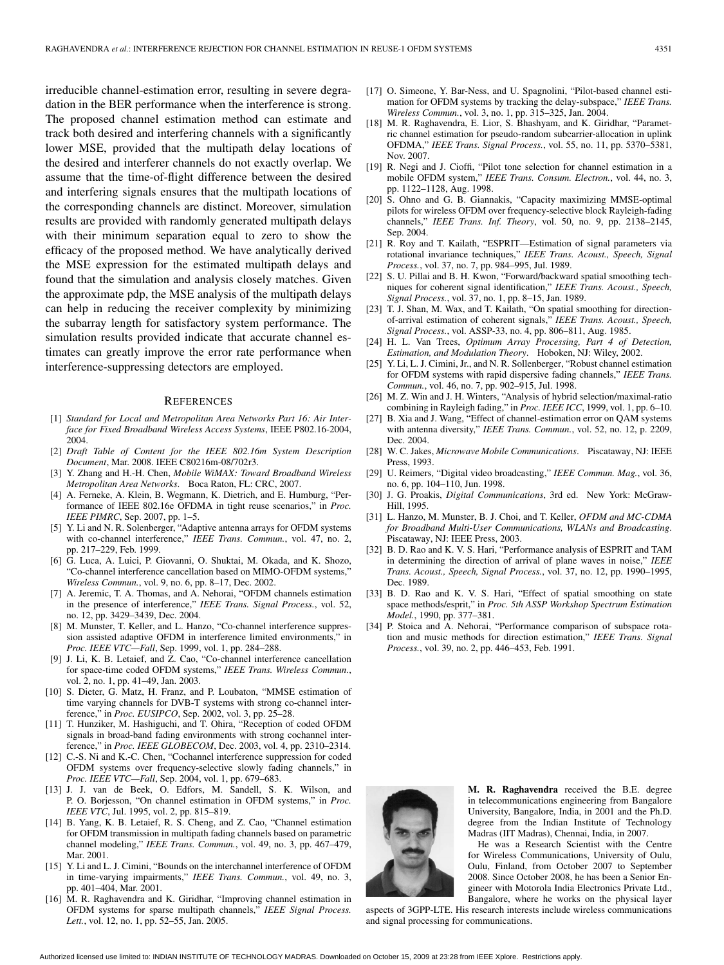irreducible channel-estimation error, resulting in severe degradation in the BER performance when the interference is strong. The proposed channel estimation method can estimate and track both desired and interfering channels with a significantly lower MSE, provided that the multipath delay locations of the desired and interferer channels do not exactly overlap. We assume that the time-of-flight difference between the desired and interfering signals ensures that the multipath locations of the corresponding channels are distinct. Moreover, simulation results are provided with randomly generated multipath delays with their minimum separation equal to zero to show the efficacy of the proposed method. We have analytically derived the MSE expression for the estimated multipath delays and found that the simulation and analysis closely matches. Given the approximate pdp, the MSE analysis of the multipath delays can help in reducing the receiver complexity by minimizing the subarray length for satisfactory system performance. The simulation results provided indicate that accurate channel estimates can greatly improve the error rate performance when interference-suppressing detectors are employed.

#### **REFERENCES**

- [1] *Standard for Local and Metropolitan Area Networks Part 16: Air Interface for Fixed Broadband Wireless Access Systems*, IEEE P802.16-2004, 2004.
- [2] *Draft Table of Content for the IEEE 802.16m System Description Document*, Mar. 2008. IEEE C80216m-08/702r3.
- [3] Y. Zhang and H.-H. Chen, *Mobile WiMAX: Toward Broadband Wireless Metropolitan Area Networks*. Boca Raton, FL: CRC, 2007.
- [4] A. Ferneke, A. Klein, B. Wegmann, K. Dietrich, and E. Humburg, "Performance of IEEE 802.16e OFDMA in tight reuse scenarios," in *Proc. IEEE PIMRC*, Sep. 2007, pp. 1–5.
- [5] Y. Li and N. R. Solenberger, "Adaptive antenna arrays for OFDM systems with co-channel interference," *IEEE Trans. Commun.*, vol. 47, no. 2, pp. 217–229, Feb. 1999.
- [6] G. Luca, A. Luici, P. Giovanni, O. Shuktai, M. Okada, and K. Shozo, "Co-channel interference cancellation based on MIMO-OFDM systems," *Wireless Commun.*, vol. 9, no. 6, pp. 8–17, Dec. 2002.
- [7] A. Jeremic, T. A. Thomas, and A. Nehorai, "OFDM channels estimation in the presence of interference," *IEEE Trans. Signal Process.*, vol. 52, no. 12, pp. 3429–3439, Dec. 2004.
- [8] M. Munster, T. Keller, and L. Hanzo, "Co-channel interference suppression assisted adaptive OFDM in interference limited environments," in *Proc. IEEE VTC—Fall*, Sep. 1999, vol. 1, pp. 284–288.
- [9] J. Li, K. B. Letaief, and Z. Cao, "Co-channel interference cancellation for space-time coded OFDM systems," *IEEE Trans. Wireless Commun.*, vol. 2, no. 1, pp. 41–49, Jan. 2003.
- [10] S. Dieter, G. Matz, H. Franz, and P. Loubaton, "MMSE estimation of time varying channels for DVB-T systems with strong co-channel interference," in *Proc. EUSIPCO*, Sep. 2002, vol. 3, pp. 25–28.
- [11] T. Hunziker, M. Hashiguchi, and T. Ohira, "Reception of coded OFDM signals in broad-band fading environments with strong cochannel interference," in *Proc. IEEE GLOBECOM*, Dec. 2003, vol. 4, pp. 2310–2314.
- [12] C.-S. Ni and K.-C. Chen, "Cochannel interference suppression for coded OFDM systems over frequency-selective slowly fading channels," in *Proc. IEEE VTC—Fall*, Sep. 2004, vol. 1, pp. 679–683.
- [13] J. J. van de Beek, O. Edfors, M. Sandell, S. K. Wilson, and P. O. Borjesson, "On channel estimation in OFDM systems," in *Proc. IEEE VTC*, Jul. 1995, vol. 2, pp. 815–819.
- [14] B. Yang, K. B. Letaief, R. S. Cheng, and Z. Cao, "Channel estimation for OFDM transmission in multipath fading channels based on parametric channel modeling," *IEEE Trans. Commun.*, vol. 49, no. 3, pp. 467–479, Mar. 2001.
- [15] Y. Li and L. J. Cimini, "Bounds on the interchannel interference of OFDM in time-varying impairments," *IEEE Trans. Commun.*, vol. 49, no. 3, pp. 401–404, Mar. 2001.
- [16] M. R. Raghavendra and K. Giridhar, "Improving channel estimation in OFDM systems for sparse multipath channels," *IEEE Signal Process.* Lett., vol. 12, no. 1, pp. 52–55, Jan. 2005.
- [17] O. Simeone, Y. Bar-Ness, and U. Spagnolini, "Pilot-based channel estimation for OFDM systems by tracking the delay-subspace," *IEEE Trans. Wireless Commun.*, vol. 3, no. 1, pp. 315–325, Jan. 2004.
- [18] M. R. Raghavendra, E. Lior, S. Bhashyam, and K. Giridhar, "Parametric channel estimation for pseudo-random subcarrier-allocation in uplink OFDMA," *IEEE Trans. Signal Process.*, vol. 55, no. 11, pp. 5370–5381, Nov. 2007.
- [19] R. Negi and J. Cioffi, "Pilot tone selection for channel estimation in a mobile OFDM system," *IEEE Trans. Consum. Electron.*, vol. 44, no. 3, pp. 1122–1128, Aug. 1998.
- [20] S. Ohno and G. B. Giannakis, "Capacity maximizing MMSE-optimal pilots for wireless OFDM over frequency-selective block Rayleigh-fading channels," *IEEE Trans. Inf. Theory*, vol. 50, no. 9, pp. 2138–2145, Sep. 2004.
- [21] R. Roy and T. Kailath, "ESPRIT—Estimation of signal parameters via rotational invariance techniques," *IEEE Trans. Acoust., Speech, Signal Process.*, vol. 37, no. 7, pp. 984–995, Jul. 1989.
- [22] S. U. Pillai and B. H. Kwon, "Forward/backward spatial smoothing techniques for coherent signal identification," *IEEE Trans. Acoust., Speech, Signal Process.*, vol. 37, no. 1, pp. 8–15, Jan. 1989.
- [23] T. J. Shan, M. Wax, and T. Kailath, "On spatial smoothing for directionof-arrival estimation of coherent signals," *IEEE Trans. Acoust., Speech, Signal Process.*, vol. ASSP-33, no. 4, pp. 806–811, Aug. 1985.
- [24] H. L. Van Trees, *Optimum Array Processing, Part 4 of Detection, Estimation, and Modulation Theory*. Hoboken, NJ: Wiley, 2002.
- [25] Y. Li, L. J. Cimini, Jr., and N. R. Sollenberger, "Robust channel estimation for OFDM systems with rapid dispersive fading channels," *IEEE Trans. Commun.*, vol. 46, no. 7, pp. 902–915, Jul. 1998.
- [26] M. Z. Win and J. H. Winters, "Analysis of hybrid selection/maximal-ratio combining in Rayleigh fading," in *Proc. IEEE ICC*, 1999, vol. 1, pp. 6–10.
- [27] B. Xia and J. Wang, "Effect of channel-estimation error on QAM systems with antenna diversity," *IEEE Trans. Commun.*, vol. 52, no. 12, p. 2209, Dec. 2004.
- [28] W. C. Jakes, *Microwave Mobile Communications*. Piscataway, NJ: IEEE Press, 1993.
- [29] U. Reimers, "Digital video broadcasting," *IEEE Commun. Mag.*, vol. 36, no. 6, pp. 104–110, Jun. 1998.
- [30] J. G. Proakis, *Digital Communications*, 3rd ed. New York: McGraw-Hill, 1995.
- [31] L. Hanzo, M. Munster, B. J. Choi, and T. Keller, *OFDM and MC-CDMA for Broadband Multi-User Communications, WLANs and Broadcasting*. Piscataway, NJ: IEEE Press, 2003.
- [32] B. D. Rao and K. V. S. Hari, "Performance analysis of ESPRIT and TAM in determining the direction of arrival of plane waves in noise," *IEEE Trans. Acoust., Speech, Signal Process.*, vol. 37, no. 12, pp. 1990–1995, Dec. 1989.
- [33] B. D. Rao and K. V. S. Hari, "Effect of spatial smoothing on state space methods/esprit," in *Proc. 5th ASSP Workshop Spectrum Estimation Model.*, 1990, pp. 377–381.
- [34] P. Stoica and A. Nehorai, "Performance comparison of subspace rotation and music methods for direction estimation," *IEEE Trans. Signal Process.*, vol. 39, no. 2, pp. 446–453, Feb. 1991.



**M. R. Raghavendra** received the B.E. degree in telecommunications engineering from Bangalore University, Bangalore, India, in 2001 and the Ph.D. degree from the Indian Institute of Technology Madras (IIT Madras), Chennai, India, in 2007.

He was a Research Scientist with the Centre for Wireless Communications, University of Oulu, Oulu, Finland, from October 2007 to September 2008. Since October 2008, he has been a Senior Engineer with Motorola India Electronics Private Ltd., Bangalore, where he works on the physical layer

aspects of 3GPP-LTE. His research interests include wireless communications and signal processing for communications.